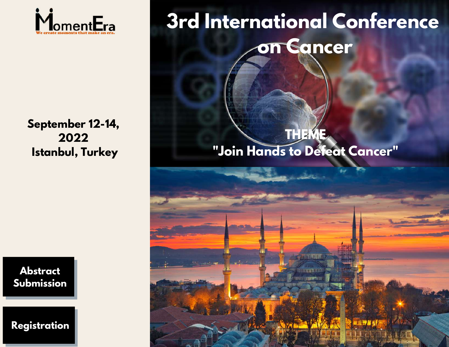

**3rd International Conference on Cancer**

**September 12-14, 2022 Istanbul, Turkey**

## **THEME "Join Hands to Defeat Cancer"**



**[Registration](https://momentera.org/conferences/cancer-2022/register.php)**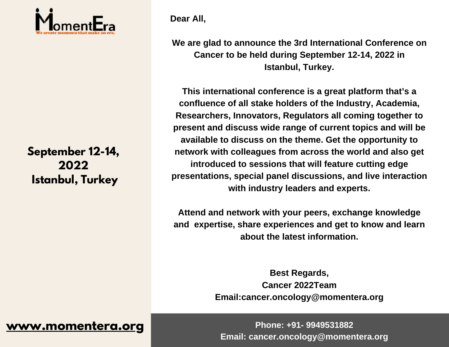

# **2022 Istanbul, Turkey**

**Dear All,**

**We are glad to announce the 3rd International Conference on Cancer to be held during September 12-14, 2022 in Istanbul, Turkey.**

**3rd International Conference present and discuss wide range of current topics and will be September 12-14, one of the** *Cancer* **network** with colleagues from across the world and also get **contains**  $\Omega$ **This international conference is a great platform that's a confluence of all stake holders of the Industry, Academia, Researchers, Innovators, Regulators all coming together to available to discuss on the theme. Get the opportunity to introduced to sessions that will feature cutting edge presentations, special panel discussions, and live interaction with industry leaders and experts.**

> **Attend and network with your peers, exchange knowledge and expertise, share experiences and get to know and learn about the latest information.**

> > **Best Regards, Cancer 2022Team Email:cancer.oncology@momentera.org**

**[www.momentera.org](https://momentera.org/) Phone: +91- 9949531882 Email: cancer.oncology@momentera.org**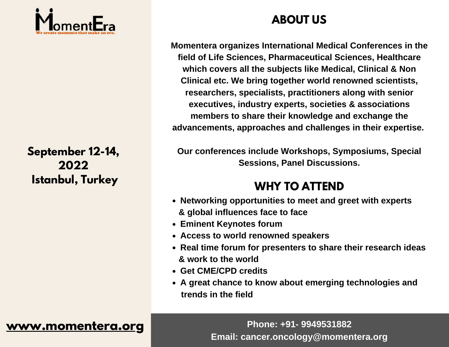

# **2022 Istanbul, Turkey**

### **ABOUT US**

**3rd International Conference advancements, approaches and challenges in their expertise. Momentera organizes International Medical Conferences in the field of Life Sciences, Pharmaceutical Sciences, Healthcare which covers all the subjects like Medical, Clinical & Non Clinical etc. We bring together world renowned scientists, researchers, specialists, practitioners along with senior executives, industry experts, societies & associations members to share their knowledge and exchange the**

**September 12-14,** Our conferences include Workshops, Symposiums, Special<br>
Sessions. Panel Discussions. **Sessions, Panel Discussions.**

### **WHY TO ATTEND**

- **Networking opportunities to meet and greet with experts & global influences face to face**
- **Eminent Keynotes forum**
- **Access to world renowned speakers**
- **Real time forum for presenters to share their research ideas & work to the world**
- **Get CME/CPD credits**
- **A great chance to know about emerging technologies and trends in the field**

**[www.momentera.org](https://momentera.org/)** Phone: +91- 9949531882 **Email: cancer.oncology@momentera.org**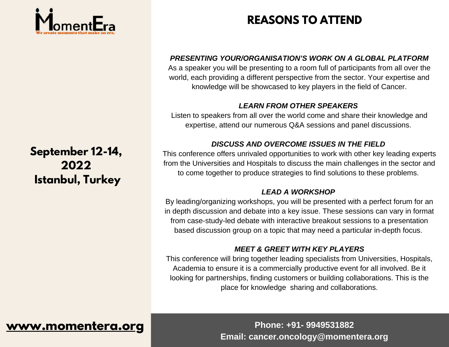

### **September 12-14, 2022 Istanbul, Turkey**

### **REASONS TO ATTEND**

#### *PRESENTING YOUR/ORGANISATION'S WORK ON A GLOBAL PLATFORM*

As a speaker you will be presenting to a room full of participants from all over the world, each providing a different perspective from the sector. Your expertise and knowledge will be showcased to key players in the field of Cancer.

#### *LEARN FROM OTHER SPEAKERS*

Listen to speakers from all over the world come and share their knowledge and expertise, attend our numerous Q&A sessions and panel discussions.

#### *DISCUSS AND OVERCOME ISSUES IN THE FIELD*

This conference offers unrivaled opportunities to work with other key leading experts from the Universities and Hospitals to discuss the main challenges in the sector and to come together to produce strategies to find solutions to these problems.

#### *LEAD A WORKSHOP*

By leading/organizing workshops, you will be presented with a perfect forum for an in depth discussion and debate into a key issue. These sessions can vary in format from case-study-led debate with interactive breakout sessions to a presentation based discussion group on a topic that may need a particular in-depth focus.

### *MEET & GREET WITH KEY PLAYERS*

This conference will bring together leading specialists from Universities, Hospitals, Academia to ensure it is a commercially productive event for all involved. Be it looking for partnerships, finding customers or building collaborations. This is the place for knowledge sharing and collaborations.

### **[www.momentera.org](https://momentera.org/) Phone: +91- 9949531882**

**Email: cancer.oncology@momentera.org**